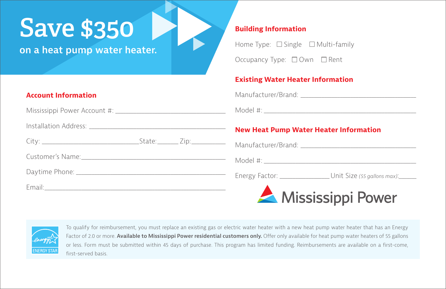# **Save \$350**

**on a heat pump water heater.**

## **Account Information**

Mississippi Power Account #:

Installation Address: \_\_\_\_\_\_\_\_\_\_\_\_\_\_\_\_\_\_\_\_\_\_\_\_\_\_\_\_\_\_\_\_\_\_\_\_\_\_\_\_\_\_\_\_\_\_\_\_\_\_\_\_

Customer's Name:\_\_\_\_\_\_\_\_\_\_\_\_\_\_\_\_\_\_\_\_\_\_\_\_\_\_\_\_\_\_\_\_\_\_\_\_\_\_\_\_\_\_\_\_\_\_\_\_\_\_\_\_\_\_\_

Daytime Phone: \_\_\_\_\_\_\_\_\_\_\_\_\_\_\_\_\_\_\_\_\_\_\_\_\_\_\_\_\_\_\_\_\_\_\_\_\_\_\_\_\_\_\_\_\_\_\_\_\_\_\_\_\_\_\_\_\_

Email:\_\_\_\_\_\_\_\_\_\_\_\_\_\_\_\_\_\_\_\_\_\_\_\_\_\_\_\_\_\_\_\_\_\_\_\_\_\_\_\_\_\_\_\_\_\_\_\_\_\_\_\_\_\_\_\_\_\_\_\_\_\_\_\_\_\_\_\_\_

#### **Building Information**

Home Type:  $\Box$  Single  $\Box$  Multi-family

Occupancy Type: □ Own □ Rent

#### **Existing Water Heater Information**

Manufacturer/Brand: **Manufacturer/Brand:**  $\blacksquare$ 

Model #: \_\_\_\_\_\_\_\_\_\_\_\_\_\_\_\_\_\_\_\_\_\_\_\_\_\_\_\_\_\_\_\_\_\_\_\_\_\_\_\_\_\_\_\_\_\_\_\_\_\_\_\_\_\_\_\_\_\_

## **New Heat Pump Water Heater Information**

Manufacturer/Brand: **Manufacturer/Brand:**  $\blacksquare$ Model #: \_\_\_\_\_\_\_\_\_\_\_\_\_\_\_\_\_\_\_\_\_\_\_\_\_\_\_\_\_\_\_\_\_\_\_\_\_\_\_\_\_\_\_\_\_\_\_\_\_\_\_\_\_\_\_\_\_\_ Energy Factor: \_\_\_\_\_\_\_\_\_\_\_\_\_\_\_\_\_\_\_ Unit Size *(55 gallons max)*:*\_\_\_\_\_\_\_* Mississippi Power



To qualify for reimbursement, you must replace an existing gas or electric water heater with a new heat pump water heater that has an Energy Factor of 2.0 or more. **Available to Mississippi Power residential customers only.** Offer only available for heat pump water heaters of 55 gallons or less. Form must be submitted within 45 days of purchase. This program has limited funding. Reimbursements are available on a first-come, first-served basis.